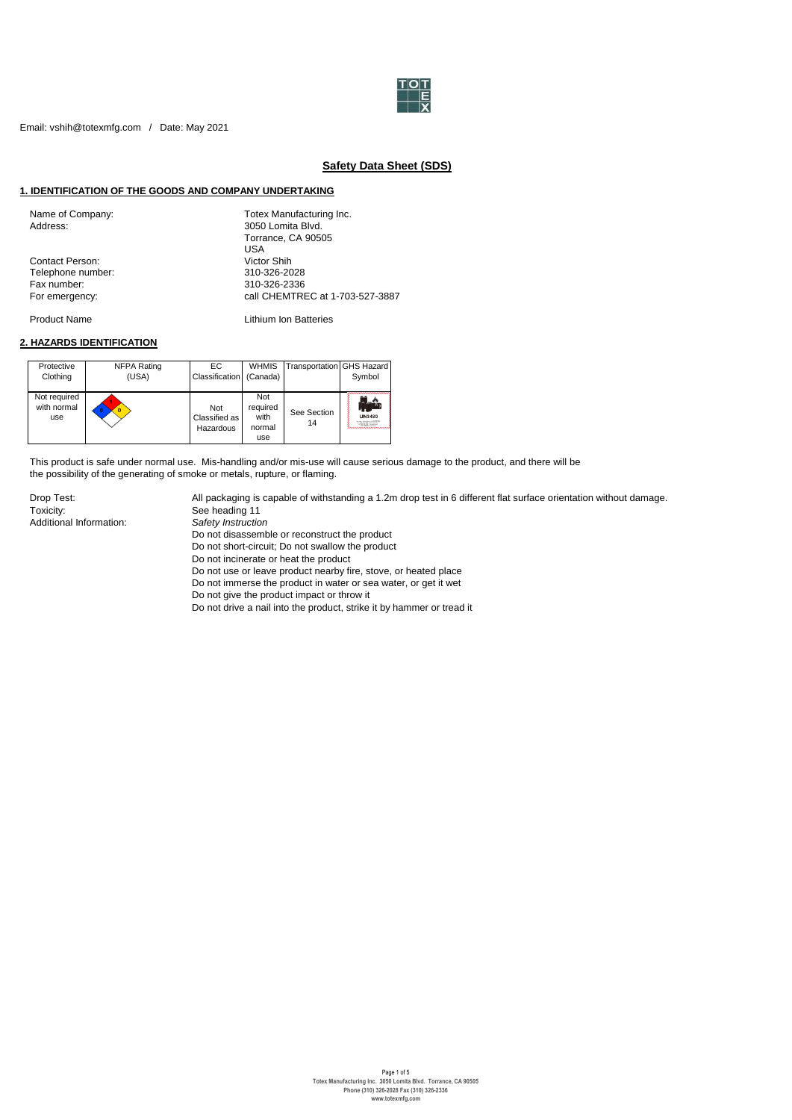

# **Safety Data Sheet (SDS)**

### **1. IDENTIFICATION OF THE GOODS AND COMPANY UNDERTAKING**

| Name of Company:       | Totex Manufacturing Inc.        |
|------------------------|---------------------------------|
| Address:               | 3050 Lomita Blvd.               |
|                        | Torrance, CA 90505              |
|                        | USA                             |
| <b>Contact Person:</b> | Victor Shih                     |
| Telephone number:      | 310-326-2028                    |
| Fax number:            | 310-326-2336                    |
| For emergency:         | call CHEMTREC at 1-703-527-3887 |
|                        |                                 |

Product Name **Lithium Ion Batteries** 

## **2. HAZARDS IDENTIFICATION**

| Protective<br>Clothing             | NFPA Rating<br>(USA) | EC.<br>Classification (Canada)    | <b>WHMIS</b>                             | Transportation GHS Hazard | Symbol                  |
|------------------------------------|----------------------|-----------------------------------|------------------------------------------|---------------------------|-------------------------|
| Not required<br>with normal<br>use |                      | Not<br>Classified as<br>Hazardous | Not<br>required<br>with<br>normal<br>use | See Section<br>14         | <b>UN3480</b><br>-921-7 |

This product is safe under normal use. Mis-handling and/or mis-use will cause serious damage to the product, and there will be the possibility of the generating of smoke or metals, rupture, or flaming.

Toxicity: See heading 11<br>Additional Information: Safety Instruction Additional Information:

Drop Test: All packaging is capable of withstanding a 1.2m drop test in 6 different flat surface orientation without damage.

Do not disassemble or reconstruct the product

Do not short-circuit; Do not swallow the product

Do not incinerate or heat the product

Do not use or leave product nearby fire, stove, or heated place

Do not immerse the product in water or sea water, or get it wet

Do not give the product impact or throw it

Do not drive a nail into the product, strike it by hammer or tread it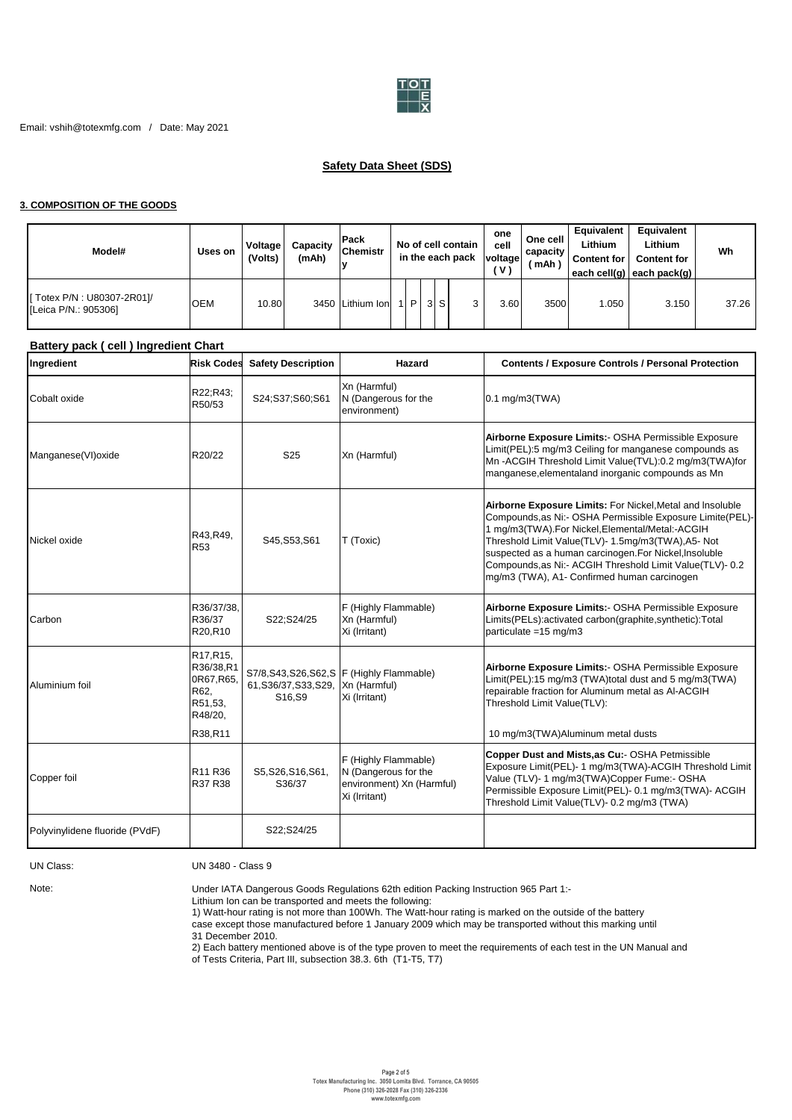

# **Safety Data Sheet (SDS)**

## **3. COMPOSITION OF THE GOODS**

| Model#                                            | Uses on    | Voltage<br>(Volts) | Capacity<br>(mAh) | <b>IPack</b><br><b>Chemistr</b> |   |    | No of cell contain<br>in the each pack | one<br>cell<br>voltage<br>V) | One cell<br>capacity<br>(mAh) | Equivalent<br>Lithium<br><b>Content for I</b> | Equivalent<br>Lithium<br><b>Content for</b><br>each cell(g) each pack(g) | Wh    |
|---------------------------------------------------|------------|--------------------|-------------------|---------------------------------|---|----|----------------------------------------|------------------------------|-------------------------------|-----------------------------------------------|--------------------------------------------------------------------------|-------|
| Totex P/N : U80307-2R01]/<br>[Leica P/N.: 905306] | <b>OEM</b> | 10.80              |                   | 3450 Lithium Ion                | D | 3S | 3                                      | 3.60                         | 3500                          | 1.050                                         | 3.150                                                                    | 37.26 |

## **Battery pack ( cell ) lngredient Chart**

| Ingredient                     | <b>Risk Codes</b>                                                             | <b>Safety Description</b>       | Hazard                                                                                     | <b>Contents / Exposure Controls / Personal Protection</b>                                                                                                                                                                                                                                                                                                                                            |
|--------------------------------|-------------------------------------------------------------------------------|---------------------------------|--------------------------------------------------------------------------------------------|------------------------------------------------------------------------------------------------------------------------------------------------------------------------------------------------------------------------------------------------------------------------------------------------------------------------------------------------------------------------------------------------------|
| Cobalt oxide                   | R22;R43;<br>R50/53                                                            | S24;S37;S60;S61                 | Xn (Harmful)<br>N (Dangerous for the<br>environment)                                       | $0.1$ mg/m3(TWA)                                                                                                                                                                                                                                                                                                                                                                                     |
| Manganese(VI)oxide             | R20/22                                                                        | S <sub>25</sub>                 | Xn (Harmful)                                                                               | Airborne Exposure Limits:- OSHA Permissible Exposure<br>Limit(PEL):5 mg/m3 Ceiling for manganese compounds as<br>Mn-ACGIH Threshold Limit Value(TVL):0.2 mg/m3(TWA)for<br>manganese, elementaland inorganic compounds as Mn                                                                                                                                                                          |
| Nickel oxide                   | R43, R49,<br>R <sub>53</sub>                                                  | S45, S53, S61                   | T (Toxic)                                                                                  | Airborne Exposure Limits: For Nickel, Metal and Insoluble<br>Compounds, as Ni:- OSHA Permissible Exposure Limite(PEL)-<br>1 mg/m3(TWA).For Nickel, Elemental/Metal:-ACGIH<br>Threshold Limit Value(TLV)- 1.5mg/m3(TWA), A5- Not<br>suspected as a human carcinogen. For Nickel, Insoluble<br>Compounds, as Ni:- ACGIH Threshold Limit Value(TLV)- 0.2<br>mg/m3 (TWA), A1- Confirmed human carcinogen |
| Carbon                         | R36/37/38,<br>R36/37<br>R20,R10                                               | S22;S24/25                      | F (Highly Flammable)<br>Xn (Harmful)<br>Xi (Irritant)                                      | Airborne Exposure Limits:- OSHA Permissible Exposure<br>Limits(PELs):activated carbon(graphite,synthetic):Total<br>particulate = $15 \text{ mg/m}$ 3                                                                                                                                                                                                                                                 |
| Aluminium foil                 | R17, R15,<br>R36/38,R1<br>0R67, R65,<br>R62,<br>R51,53,<br>R48/20,<br>R38,R11 | 61, S36/37, S33, S29,<br>S16.S9 | S7/8, S43, S26, S62, S F (Highly Flammable)<br>Xn (Harmful)<br>Xi (Irritant)               | Airborne Exposure Limits:- OSHA Permissible Exposure<br>Limit(PEL):15 mg/m3 (TWA)total dust and 5 mg/m3(TWA)<br>repairable fraction for Aluminum metal as Al-ACGIH<br>Threshold Limit Value(TLV):<br>10 mg/m3(TWA)Aluminum metal dusts                                                                                                                                                               |
| Copper foil                    | R11 R36<br>R37 R38                                                            | S5, S26, S16, S61,<br>S36/37    | F (Highly Flammable)<br>N (Dangerous for the<br>environment) Xn (Harmful)<br>Xi (Irritant) | Copper Dust and Mists, as Cu:- OSHA Petmissible<br>Exposure Limit(PEL)- 1 mg/m3(TWA)-ACGIH Threshold Limit<br>Value (TLV)- 1 mg/m3(TWA)Copper Fume:- OSHA<br>Permissible Exposure Limit(PEL)- 0.1 mg/m3(TWA)- ACGIH<br>Threshold Limit Value(TLV)- 0.2 mg/m3 (TWA)                                                                                                                                   |
| Polyvinylidene fluoride (PVdF) |                                                                               | S22;S24/25                      |                                                                                            |                                                                                                                                                                                                                                                                                                                                                                                                      |

## UN Class: UN 3480 - Class 9

Note:

Under IATA Dangerous Goods Regulations 62th edition Packing Instruction 965 Part 1:-

Lithium Ion can be transported and meets the following:

1) Watt-hour rating is not more than 100Wh. The Watt-hour rating is marked on the outside of the battery case except those manufactured before 1 January 2009 which may be transported without this marking until

31 December 2010.

2) Each battery mentioned above is of the type proven to meet the requirements of each test in the UN Manual and

of Tests Criteria, Part III, subsection 38.3. 6th (T1-T5, T7)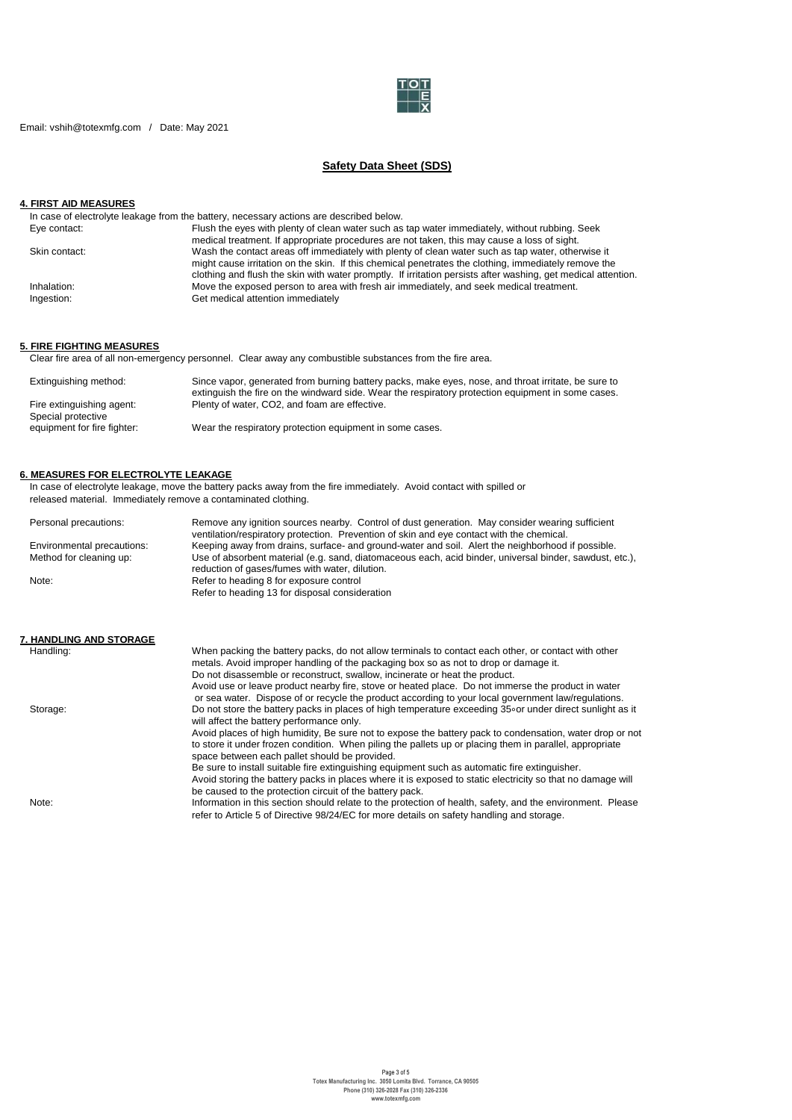

Email: vshih@totexmfg.com / Date: May 2021

# **Safety Data Sheet (SDS)**

# **4. FIRST AID MEASURES**

| In case of electrolyte leakage from the battery, necessary actions are described below.                       |
|---------------------------------------------------------------------------------------------------------------|
| Flush the eyes with plenty of clean water such as tap water immediately, without rubbing. Seek                |
| medical treatment. If appropriate procedures are not taken, this may cause a loss of sight.                   |
| Wash the contact areas off immediately with plenty of clean water such as tap water, otherwise it             |
| might cause irritation on the skin. If this chemical penetrates the clothing, immediately remove the          |
| clothing and flush the skin with water promptly. If irritation persists after washing, get medical attention. |
| Move the exposed person to area with fresh air immediately, and seek medical treatment.                       |
| Get medical attention immediately                                                                             |
|                                                                                                               |

## **5. FIRE FIGHTING MEASURES**

Clear fire area of all non-emergency personnel. Clear away any combustible substances from the fire area.

| Extinguishing method:                           | Since vapor, generated from burning battery packs, make eyes, nose, and throat irritate, be sure to<br>extinguish the fire on the windward side. Wear the respiratory protection equipment in some cases. |
|-------------------------------------------------|-----------------------------------------------------------------------------------------------------------------------------------------------------------------------------------------------------------|
| Fire extinguishing agent:<br>Special protective | Plenty of water, CO2, and foam are effective.                                                                                                                                                             |
| equipment for fire fighter:                     | Wear the respiratory protection equipment in some cases.                                                                                                                                                  |

#### **6. MEASURES FOR ELECTROLYTE LEAKAGE**

In case of electrolyte leakage, move the battery packs away from the fire immediately. Avoid contact with spilled or released material. Immediately remove a contaminated clothing.

| Personal precautions:      | Remove any ignition sources nearby. Control of dust generation. May consider wearing sufficient<br>ventilation/respiratory protection. Prevention of skin and eye contact with the chemical. |
|----------------------------|----------------------------------------------------------------------------------------------------------------------------------------------------------------------------------------------|
| Environmental precautions: | Keeping away from drains, surface- and ground-water and soil. Alert the neighborhood if possible.                                                                                            |
| Method for cleaning up:    | Use of absorbent material (e.g. sand, diatomaceous each, acid binder, universal binder, sawdust, etc.),<br>reduction of gases/fumes with water, dilution.                                    |
| Note:                      | Refer to heading 8 for exposure control<br>Refer to heading 13 for disposal consideration                                                                                                    |
| 7. HANDLING AND STORAGE    |                                                                                                                                                                                              |

| Handling: | When packing the battery packs, do not allow terminals to contact each other, or contact with other<br>metals. Avoid improper handling of the packaging box so as not to drop or damage it.                                                                          |
|-----------|----------------------------------------------------------------------------------------------------------------------------------------------------------------------------------------------------------------------------------------------------------------------|
|           | Do not disassemble or reconstruct, swallow, incinerate or heat the product.                                                                                                                                                                                          |
|           | Avoid use or leave product nearby fire, stove or heated place. Do not immerse the product in water<br>or sea water. Dispose of or recycle the product according to your local government law/regulations.                                                            |
| Storage:  | Do not store the battery packs in places of high temperature exceeding 35 or under direct sunlight as it<br>will affect the battery performance only.                                                                                                                |
|           | Avoid places of high humidity, Be sure not to expose the battery pack to condensation, water drop or not<br>to store it under frozen condition. When piling the pallets up or placing them in parallel, appropriate<br>space between each pallet should be provided. |
|           | Be sure to install suitable fire extinguishing equipment such as automatic fire extinguisher.<br>Avoid storing the battery packs in places where it is exposed to static electricity so that no damage will                                                          |
|           | be caused to the protection circuit of the battery pack.                                                                                                                                                                                                             |
| Note:     | Information in this section should relate to the protection of health, safety, and the environment. Please                                                                                                                                                           |
|           | refer to Article 5 of Directive 98/24/EC for more details on safety handling and storage.                                                                                                                                                                            |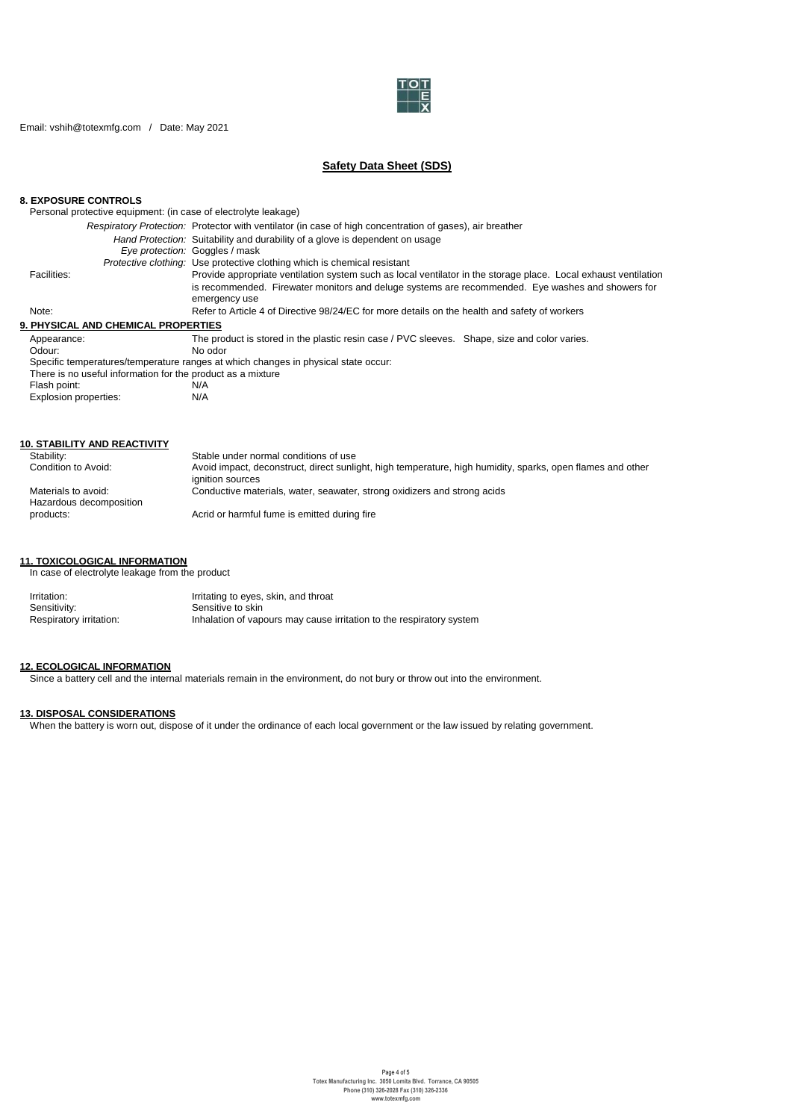

Email: vshih@totexmfg.com / Date: May 2021

# **Safety Data Sheet (SDS)**

### **8. EXPOSURE CONTROLS**

Personal protective equipment: (in case of electrolyte leakage)

|                                                             | Respiratory Protection: Protector with ventilator (in case of high concentration of gases), air breather           |
|-------------------------------------------------------------|--------------------------------------------------------------------------------------------------------------------|
|                                                             | Hand Protection: Suitability and durability of a glove is dependent on usage                                       |
|                                                             | Eve protection: Goggles / mask                                                                                     |
|                                                             | <i>Protective clothing:</i> Use protective clothing which is chemical resistant                                    |
| Facilities:                                                 | Provide appropriate ventilation system such as local ventilator in the storage place. Local exhaust ventilation    |
|                                                             | is recommended. Firewater monitors and deluge systems are recommended. Eye washes and showers for<br>emergency use |
| Note:                                                       | Refer to Article 4 of Directive 98/24/EC for more details on the health and safety of workers                      |
| 9. PHYSICAL AND CHEMICAL PROPERTIES                         |                                                                                                                    |
| Appearance:                                                 | The product is stored in the plastic resin case / PVC sleeves. Shape, size and color varies.                       |
| Odour:                                                      | No odor                                                                                                            |
|                                                             | Specific temperatures/temperature ranges at which changes in physical state occur:                                 |
| There is no useful information for the product as a mixture |                                                                                                                    |
| Flash point:                                                | N/A                                                                                                                |
| Explosion properties:                                       | N/A                                                                                                                |

| <b>10. STABILITY AND REACTIVITY</b>            |                                                                                                                                |
|------------------------------------------------|--------------------------------------------------------------------------------------------------------------------------------|
| Stability:                                     | Stable under normal conditions of use                                                                                          |
| Condition to Avoid:                            | Avoid impact, deconstruct, direct sunlight, high temperature, high humidity, sparks, open flames and other<br>ignition sources |
| Materials to avoid:<br>Hazardous decomposition | Conductive materials, water, seawater, strong oxidizers and strong acids                                                       |
| products:                                      | Acrid or harmful fume is emitted during fire                                                                                   |

## **11. TOXICOLOGICAL INFORMATION**

In case of electrolyte leakage from the product

| Irritation:             | Irritating to eyes, skin, and throat                                 |
|-------------------------|----------------------------------------------------------------------|
| Sensitivity:            | Sensitive to skin                                                    |
| Respiratory irritation: | Inhalation of vapours may cause irritation to the respiratory system |

### **12. ECOLOGICAL INFORMATION**

Since a battery cell and the internal materials remain in the environment, do not bury or throw out into the environment.

### **13. DISPOSAL CONSIDERATIONS**

When the battery is worn out, dispose of it under the ordinance of each local government or the law issued by relating government.